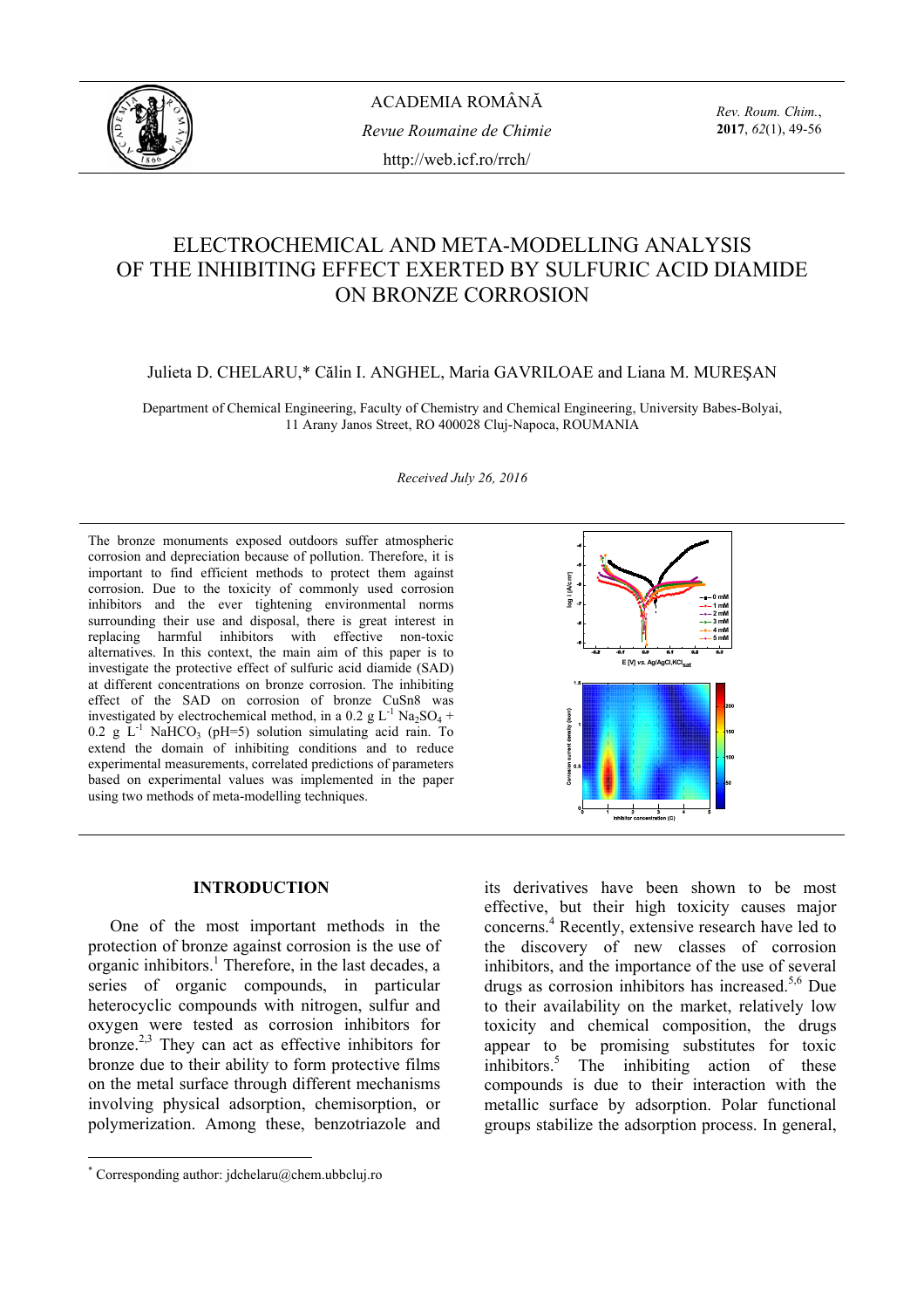

ACADEMIA ROMÂNĂ *Revue Roumaine de Chimie*  http://web.icf.ro/rrch/

*Rev. Roum. Chim.*, **2017**, *62*(1), 49-56

# ELECTROCHEMICAL AND META-MODELLING ANALYSIS OF THE INHIBITING EFFECT EXERTED BY SULFURIC ACID DIAMIDE ON BRONZE CORROSION

## Julieta D. CHELARU,\* Călin I. ANGHEL, Maria GAVRILOAE and Liana M. MUREŞAN

Department of Chemical Engineering, Faculty of Chemistry and Chemical Engineering, University Babes-Bolyai, 11 Arany Janos Street, RO 400028 Cluj-Napoca, ROUMANIA

*Received July 26, 2016* 

The bronze monuments exposed outdoors suffer atmospheric corrosion and depreciation because of pollution. Therefore, it is important to find efficient methods to protect them against corrosion. Due to the toxicity of commonly used corrosion inhibitors and the ever tightening environmental norms surrounding their use and disposal, there is great interest in replacing harmful inhibitors with effective non-toxic alternatives. In this context, the main aim of this paper is to investigate the protective effect of sulfuric acid diamide (SAD) at different concentrations on bronze corrosion. The inhibiting effect of the SAD on corrosion of bronze CuSn8 was investigated by electrochemical method, in a 0.2 g  $L^{-1}$  Na<sub>2</sub>SO<sub>4</sub> + 0.2 g  $\tilde{L}^{-1}$  NaHCO<sub>3</sub> (pH=5) solution simulating acid rain. To extend the domain of inhibiting conditions and to reduce experimental measurements, correlated predictions of parameters based on experimental values was implemented in the paper using two methods of meta-modelling techniques.



#### **INTRODUCTION\***

One of the most important methods in the protection of bronze against corrosion is the use of  $\alpha$  organic inhibitors.<sup>1</sup> Therefore, in the last decades, a series of organic compounds, in particular heterocyclic compounds with nitrogen, sulfur and oxygen were tested as corrosion inhibitors for bronze.<sup>2,3</sup> They can act as effective inhibitors for bronze due to their ability to form protective films on the metal surface through different mechanisms involving physical adsorption, chemisorption, or polymerization. Among these, benzotriazole and

its derivatives have been shown to be most effective, but their high toxicity causes major concerns.<sup>4</sup> Recently, extensive research have led to the discovery of new classes of corrosion inhibitors, and the importance of the use of several drugs as corrosion inhibitors has increased.<sup>5,6</sup> Due to their availability on the market, relatively low toxicity and chemical composition, the drugs appear to be promising substitutes for toxic inhibitors.<sup>5</sup> The inhibiting action of these compounds is due to their interaction with the metallic surface by adsorption. Polar functional groups stabilize the adsorption process. In general,

 \* Corresponding author: jdchelaru@chem.ubbcluj.ro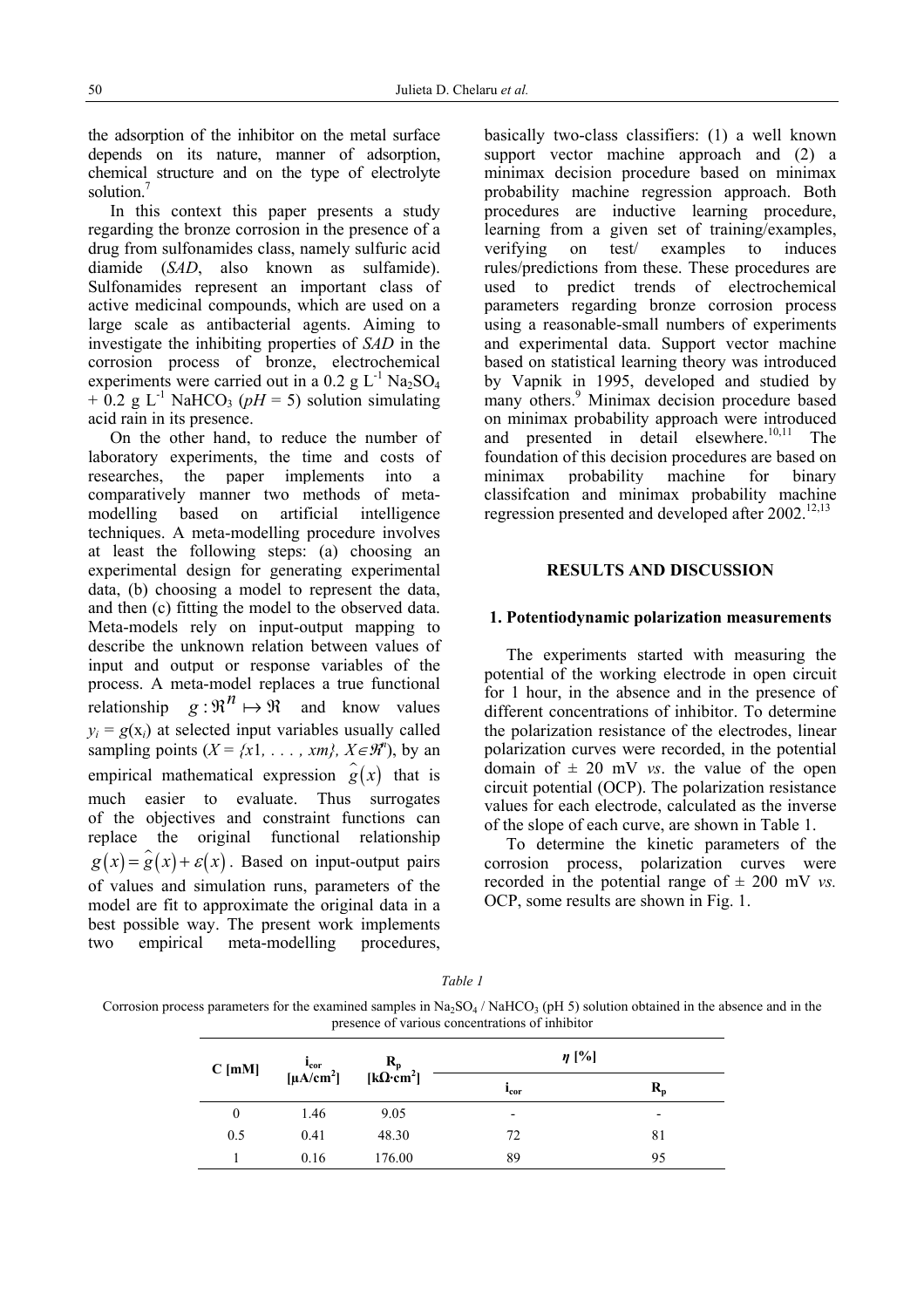the adsorption of the inhibitor on the metal surface depends on its nature, manner of adsorption, chemical structure and on the type of electrolyte solution.<sup>7</sup>

In this context this paper presents a study regarding the bronze corrosion in the presence of a drug from sulfonamides class, namely sulfuric acid diamide (*SAD*, also known as sulfamide). Sulfonamides represent an important class of active medicinal compounds, which are used on a large scale as antibacterial agents. Aiming to investigate the inhibiting properties of *SAD* in the corrosion process of bronze, electrochemical experiments were carried out in a 0.2 g  $L^{-1}$  Na<sub>2</sub>SO<sub>4</sub>  $+ 0.2$  g L<sup>-1</sup> NaHCO<sub>3</sub> (*pH* = 5) solution simulating acid rain in its presence.

On the other hand, to reduce the number of laboratory experiments, the time and costs of researches, the paper implements into a comparatively manner two methods of metamodelling based on artificial intelligence techniques. A meta-modelling procedure involves at least the following steps: (a) choosing an experimental design for generating experimental data, (b) choosing a model to represent the data, and then (c) fitting the model to the observed data. Meta-models rely on input-output mapping to describe the unknown relation between values of input and output or response variables of the process. A meta-model replaces a true functional relationship  $q : \mathbb{R}^n \mapsto \mathbb{R}$  and know values  $y_i = g(x_i)$  at selected input variables usually called sampling points  $(X = \{x1, \ldots, xm\}, X \in \mathcal{R}^n)$ , by an empirical mathematical expression  $\hat{g}(x)$  that is much easier to evaluate. Thus surrogates of the objectives and constraint functions can replace the original functional relationship  $g(x) = g(x) + \varepsilon(x)$ . Based on input-output pairs of values and simulation runs, parameters of the model are fit to approximate the original data in a best possible way. The present work implements two empirical meta-modelling procedures,

basically two-class classifiers: (1) a well known support vector machine approach and (2) a minimax decision procedure based on minimax probability machine regression approach. Both procedures are inductive learning procedure, learning from a given set of training/examples, verifying on test/ examples to induces rules/predictions from these. These procedures are used to predict trends of electrochemical parameters regarding bronze corrosion process using a reasonable-small numbers of experiments and experimental data. Support vector machine based on statistical learning theory was introduced by Vapnik in 1995, developed and studied by many others.<sup>9</sup> Minimax decision procedure based on minimax probability approach were introduced and presented in detail elsewhere.<sup>10,11</sup> The foundation of this decision procedures are based on minimax probability machine for binary classifcation and minimax probability machine regression presented and developed after  $2002$ <sup>12,13</sup>

#### **RESULTS AND DISCUSSION**

#### **1. Potentiodynamic polarization measurements**

The experiments started with measuring the potential of the working electrode in open circuit for 1 hour, in the absence and in the presence of different concentrations of inhibitor. To determine the polarization resistance of the electrodes, linear polarization curves were recorded, in the potential domain of  $\pm$  20 mV *vs*. the value of the open circuit potential (OCP). The polarization resistance values for each electrode, calculated as the inverse of the slope of each curve, are shown in Table 1.

To determine the kinetic parameters of the corrosion process, polarization curves were recorded in the potential range of  $\pm$  200 mV *vs.* OCP, some results are shown in Fig. 1.

Corrosion process parameters for the examined samples in  $Na_2SO_4$  / NaHCO<sub>3</sub> (pH 5) solution obtained in the absence and in the presence of various concentrations of inhibitor

| $C$ [mM] | $R_p$ [kΩ·cm <sup>2</sup> ]<br>$i_{cor}$<br>[µA/cm <sup>2</sup> ] |        | $\eta$ [%]               |                  |
|----------|-------------------------------------------------------------------|--------|--------------------------|------------------|
|          |                                                                   |        | $_{\rm{lor}}$            | $\mathbf{R_{n}}$ |
| $\theta$ | 1.46                                                              | 9.05   | $\overline{\phantom{0}}$ | ٠                |
| 0.5      | 0.41                                                              | 48.30  | 72                       | 81               |
|          | 0.16                                                              | 176.00 | 89                       | 95               |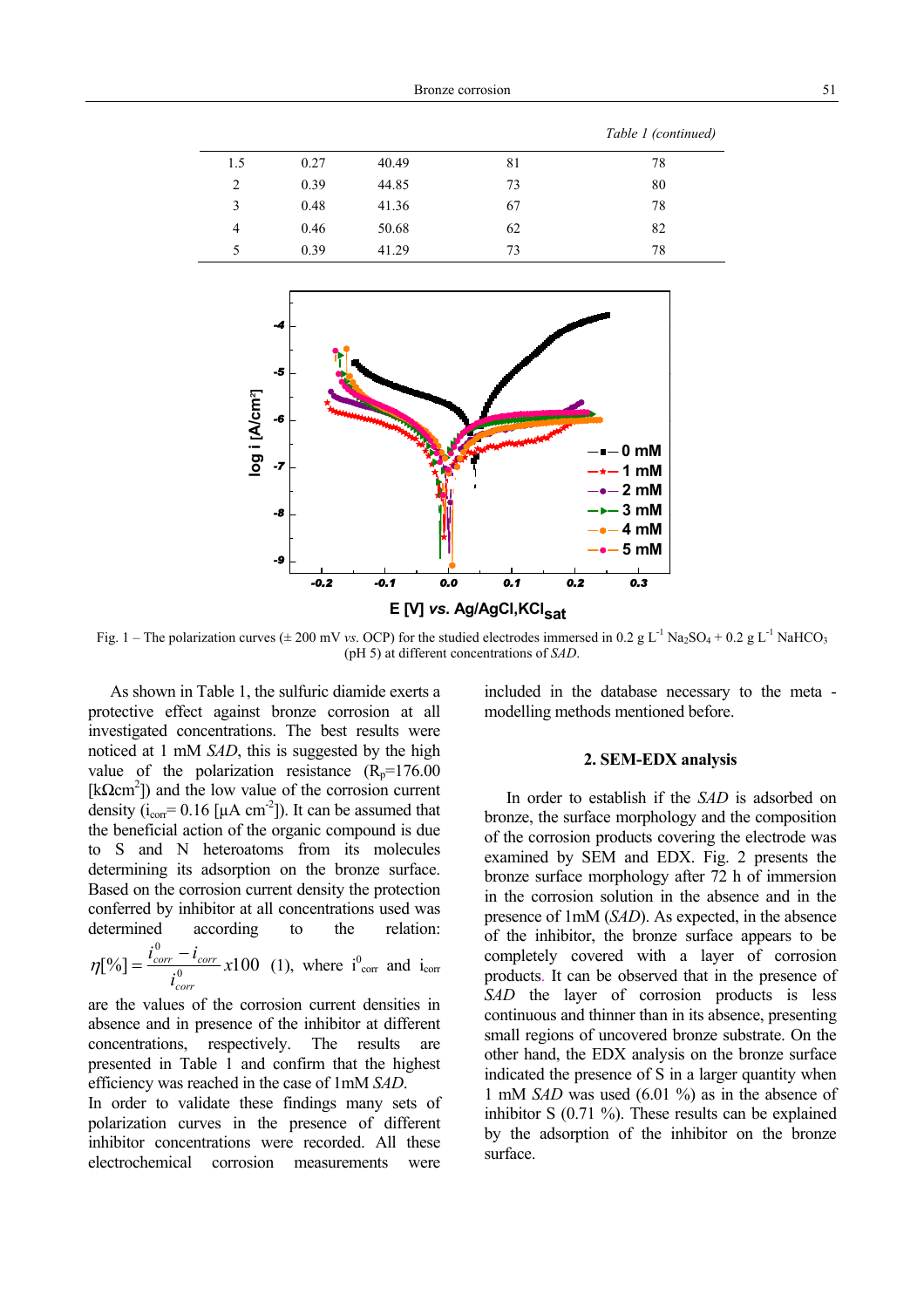|     |      |       |    | Table 1 (continued) |
|-----|------|-------|----|---------------------|
| 1.5 | 0.27 | 40.49 | 81 | 78                  |
| 2   | 0.39 | 44.85 | 73 | 80                  |
| 3   | 0.48 | 41.36 | 67 | 78                  |
| 4   | 0.46 | 50.68 | 62 | 82                  |
| 5   | 0.39 | 41.29 | 73 | 78                  |



Fig. 1 – The polarization curves ( $\pm 200$  mV *vs.* OCP) for the studied electrodes immersed in 0.2 g L<sup>-1</sup> Na<sub>2</sub>SO<sub>4</sub> + 0.2 g L<sup>-1</sup> NaHCO<sub>3</sub> (pH 5) at different concentrations of *SAD*.

As shown in Table 1, the sulfuric diamide exerts a protective effect against bronze corrosion at all investigated concentrations. The best results were noticed at 1 mM *SAD*, this is suggested by the high value of the polarization resistance  $(R_p=176.00)$ [ $k\Omega$ cm<sup>2</sup>]) and the low value of the corrosion current density ( $i_{\text{corr}}$ = 0.16 [ $\mu$ A cm<sup>-2</sup>]). It can be assumed that the beneficial action of the organic compound is due to S and N heteroatoms from its molecules determining its adsorption on the bronze surface. Based on the corrosion current density the protection conferred by inhibitor at all concentrations used was determined according to the relation:

 $[\%] = \frac{c_{corr} - c_{corr}}{0} x100$ 0 *x i*  $i_{corr}^0 - i$ *corr*  $\eta[\%] = \frac{i_{corr}^0 - i_{corr}}{0} x 100$  (1), where  $i_{corr}^0$  and  $i_{corr}$ 

are the values of the corrosion current densities in absence and in presence of the inhibitor at different concentrations, respectively. The results are presented in Table 1 and confirm that the highest efficiency was reached in the case of 1mM *SAD*.

In order to validate these findings many sets of polarization curves in the presence of different inhibitor concentrations were recorded. All these electrochemical corrosion measurements were

included in the database necessary to the meta modelling methods mentioned before.

#### **2. SEM-EDX analysis**

In order to establish if the *SAD* is adsorbed on bronze, the surface morphology and the composition of the corrosion products covering the electrode was examined by SEM and EDX. Fig. 2 presents the bronze surface morphology after 72 h of immersion in the corrosion solution in the absence and in the presence of 1mM (*SAD*). As expected, in the absence of the inhibitor, the bronze surface appears to be completely covered with a layer of corrosion products. It can be observed that in the presence of *SAD* the layer of corrosion products is less continuous and thinner than in its absence, presenting small regions of uncovered bronze substrate. On the other hand, the EDX analysis on the bronze surface indicated the presence of S in a larger quantity when 1 mM *SAD* was used (6.01 %) as in the absence of inhibitor S (0.71 %). These results can be explained by the adsorption of the inhibitor on the bronze surface.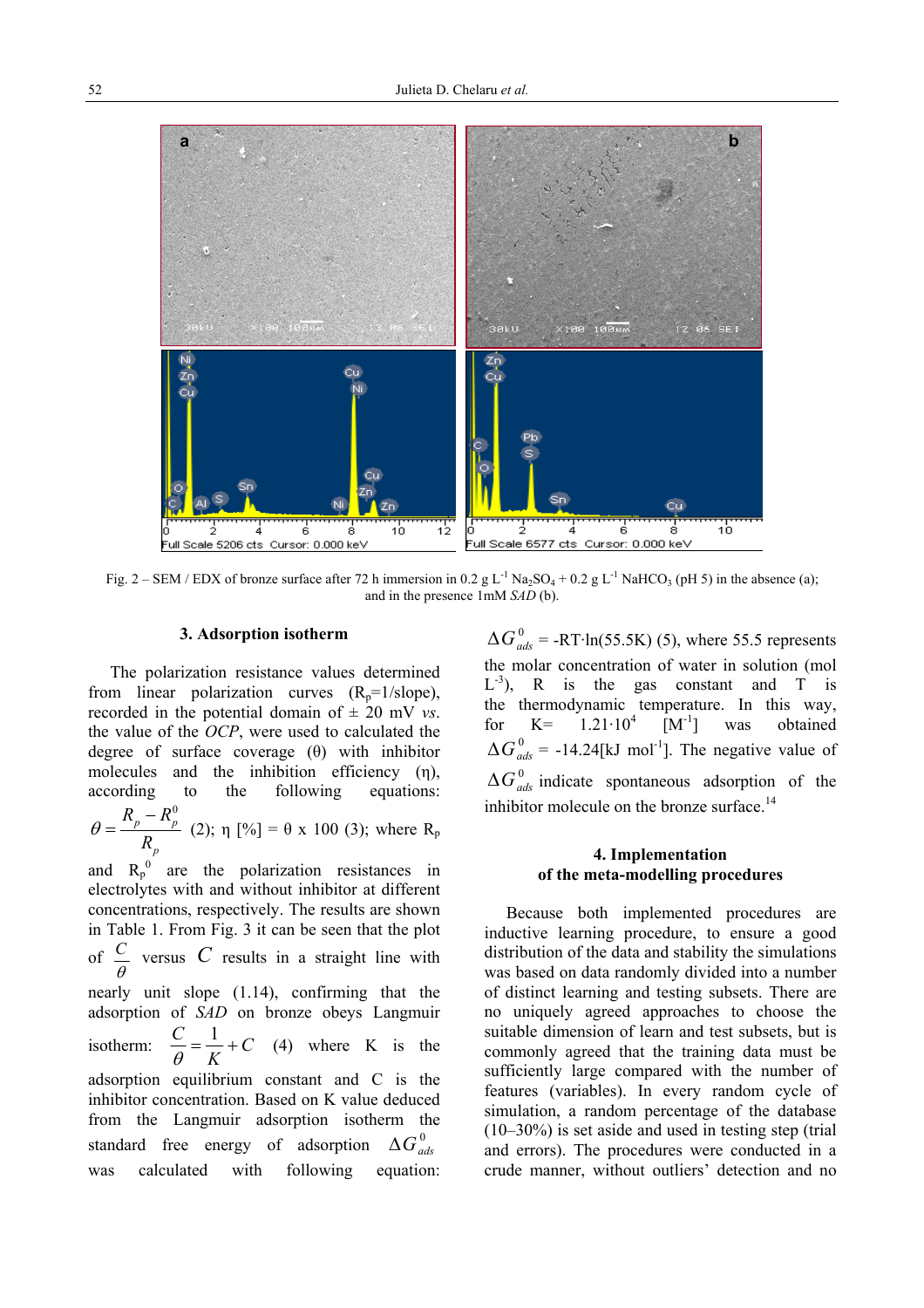

Fig.  $2 - SEM / EDX$  of bronze surface after 72 h immersion in 0.2 g L<sup>-1</sup> Na<sub>2</sub>SO<sub>4</sub> + 0.2 g L<sup>-1</sup> NaHCO<sub>3</sub> (pH 5) in the absence (a); and in the presence 1mM *SAD* (b).

#### **3. Adsorption isotherm**

The polarization resistance values determined from linear polarization curves  $(R_p=1/slope)$ , recorded in the potential domain of  $\pm$  20 mV *vs*. the value of the *OCP*, were used to calculated the degree of surface coverage (θ) with inhibitor molecules and the inhibition efficiency (η), according to the following equations:

*p p p R*  $heta = \frac{R_p - R_p^0}{R}$  (2);  $\eta$  [%] =  $\theta$  x 100 (3); where R<sub>p</sub>

and  $R_p^0$  are the polarization resistances in electrolytes with and without inhibitor at different concentrations, respectively. The results are shown in Table 1. From Fig. 3 it can be seen that the plot of  $\frac{c}{\theta}$ *C* versus *C* results in a straight line with nearly unit slope (1.14), confirming that the adsorption of *SAD* on bronze obeys Langmuir isotherm:  $\frac{C}{c} = \frac{1}{T} + C$ *K*  $\frac{C}{c} = \frac{1}{\pi} +$  $\frac{\partial}{\partial \theta} = \frac{1}{K} + C$  (4) where K is the adsorption equilibrium constant and C is the inhibitor concentration. Based on K value deduced from the Langmuir adsorption isotherm the standard free energy of adsorption  $\Delta G_{ads}^{0}$ was calculated with following equation:

 $\Delta G_{ads}^{0}$  = -RT·ln(55.5K) (5), where 55.5 represents the molar concentration of water in solution (mol  $L^{-3}$ ), R is the gas constant and T is the thermodynamic temperature. In this way, for  $K = 1.21 \cdot 10^4$   $[M^{-1}]$  was obtained  $\Delta G_{ads}^0$  = -14.24[kJ mol<sup>-1</sup>]. The negative value of  $\Delta G_{ads}^{0}$  indicate spontaneous adsorption of the inhibitor molecule on the bronze surface.<sup>14</sup>

## **4. Implementation of the meta-modelling procedures**

Because both implemented procedures are inductive learning procedure, to ensure a good distribution of the data and stability the simulations was based on data randomly divided into a number of distinct learning and testing subsets. There are no uniquely agreed approaches to choose the suitable dimension of learn and test subsets, but is commonly agreed that the training data must be sufficiently large compared with the number of features (variables). In every random cycle of simulation, a random percentage of the database (10–30%) is set aside and used in testing step (trial and errors). The procedures were conducted in a crude manner, without outliers' detection and no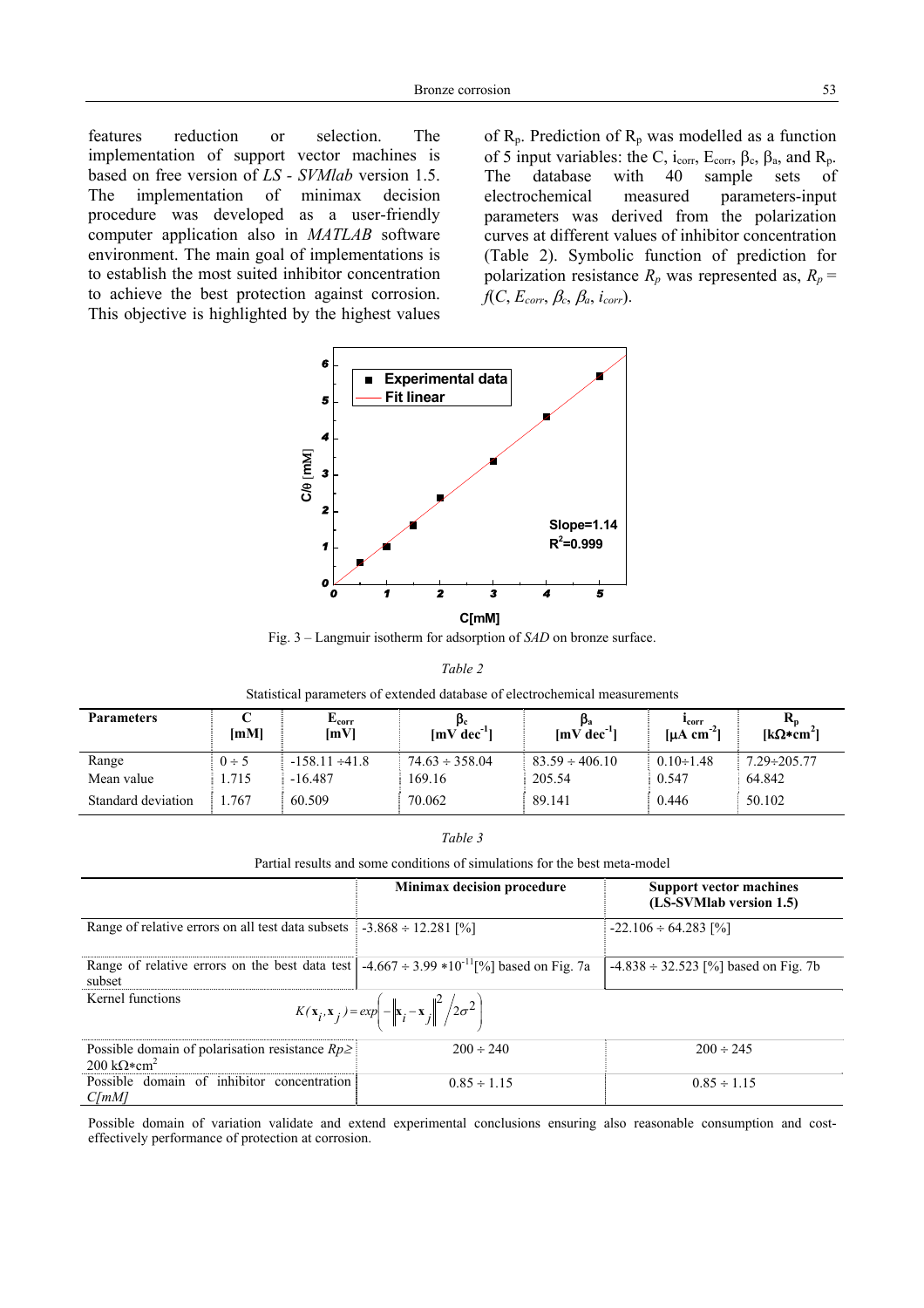features reduction or selection. The implementation of support vector machines is based on free version of *LS - SVMlab* version 1.5. The implementation of minimax decision procedure was developed as a user-friendly computer application also in *MATLAB* software environment. The main goal of implementations is to establish the most suited inhibitor concentration to achieve the best protection against corrosion. This objective is highlighted by the highest values

of  $R_p$ . Prediction of  $R_p$  was modelled as a function of 5 input variables: the C, i<sub>corr</sub>, E<sub>corr</sub>,  $\beta_c$ ,  $\beta_a$ , and R<sub>p</sub>. The database with 40 sample sets of electrochemical measured parameters-input parameters was derived from the polarization curves at different values of inhibitor concentration (Table 2). Symbolic function of prediction for polarization resistance  $R_p$  was represented as,  $R_p$  = *f*(*C*, *Ecorr*, β*c*, β*a*, *icorr*).



Fig. 3 – Langmuir isotherm for adsorption of *SAD* on bronze surface.

*Table 2*

| Statistical parameters of extended database of electrochemical measurements |  |
|-----------------------------------------------------------------------------|--|
|-----------------------------------------------------------------------------|--|

| <b>Parameters</b>  | [mM]       | $E_{corr}$<br>[mV]  | $[mV dec-1]$        | Pa<br>$[mV dec-1]$  | <b>Lcorr</b><br>[ $\mu$ A cm <sup>-2</sup> ] | [kΩ*cm <sup>2</sup> ] |
|--------------------|------------|---------------------|---------------------|---------------------|----------------------------------------------|-----------------------|
| Range              | $0 \div 5$ | $-158.11 \div 41.8$ | $74.63 \div 358.04$ | $83.59 \div 406.10$ | $0.10 \div 1.48$                             | $7.29 \div 205.77$    |
| Mean value         | . 715      | $-16.487$           | 169.16              | 205.54              | 0.547                                        | 64.842                |
| Standard deviation | .767       | 60.509              | 70.062              | 89.141              | 0.446                                        | 50.102                |

| , | abi |  |
|---|-----|--|
|   |     |  |

Partial results and some conditions of simulations for the best meta-model

|                                                                                                                                 | <b>Minimax decision procedure</b> | <b>Support vector machines</b><br>(LS-SVMlab version 1.5) |  |  |  |
|---------------------------------------------------------------------------------------------------------------------------------|-----------------------------------|-----------------------------------------------------------|--|--|--|
| Range of relative errors on all test data subsets                                                                               | $-3.868 \div 12.281$ [%]          | $-22.106 \div 64.283$ [%]                                 |  |  |  |
| Range of relative errors on the best data test   -4.667 ÷ 3.99 *10 <sup>-11</sup> [%] based on Fig. 7a<br>subset                |                                   | $-4.838 \div 32.523$ [%] based on Fig. 7b                 |  |  |  |
| Kernel functions<br>$K(\mathbf{x}_i, \mathbf{x}_j) = exp\left(-\left\ \mathbf{x}_i - \mathbf{x}_j\right\ ^2 / 2\sigma^2\right)$ |                                   |                                                           |  |  |  |
| Possible domain of polarisation resistance $Rp \geq 1$<br>200 $k\Omega$ *cm <sup>2</sup>                                        | $200 \div 240$                    | $200 \div 245$                                            |  |  |  |
| Possible domain of inhibitor concentration<br>$C$ [mM]                                                                          | $0.85 \div 1.15$                  | $0.85 \div 1.15$                                          |  |  |  |

Possible domain of variation validate and extend experimental conclusions ensuring also reasonable consumption and costeffectively performance of protection at corrosion.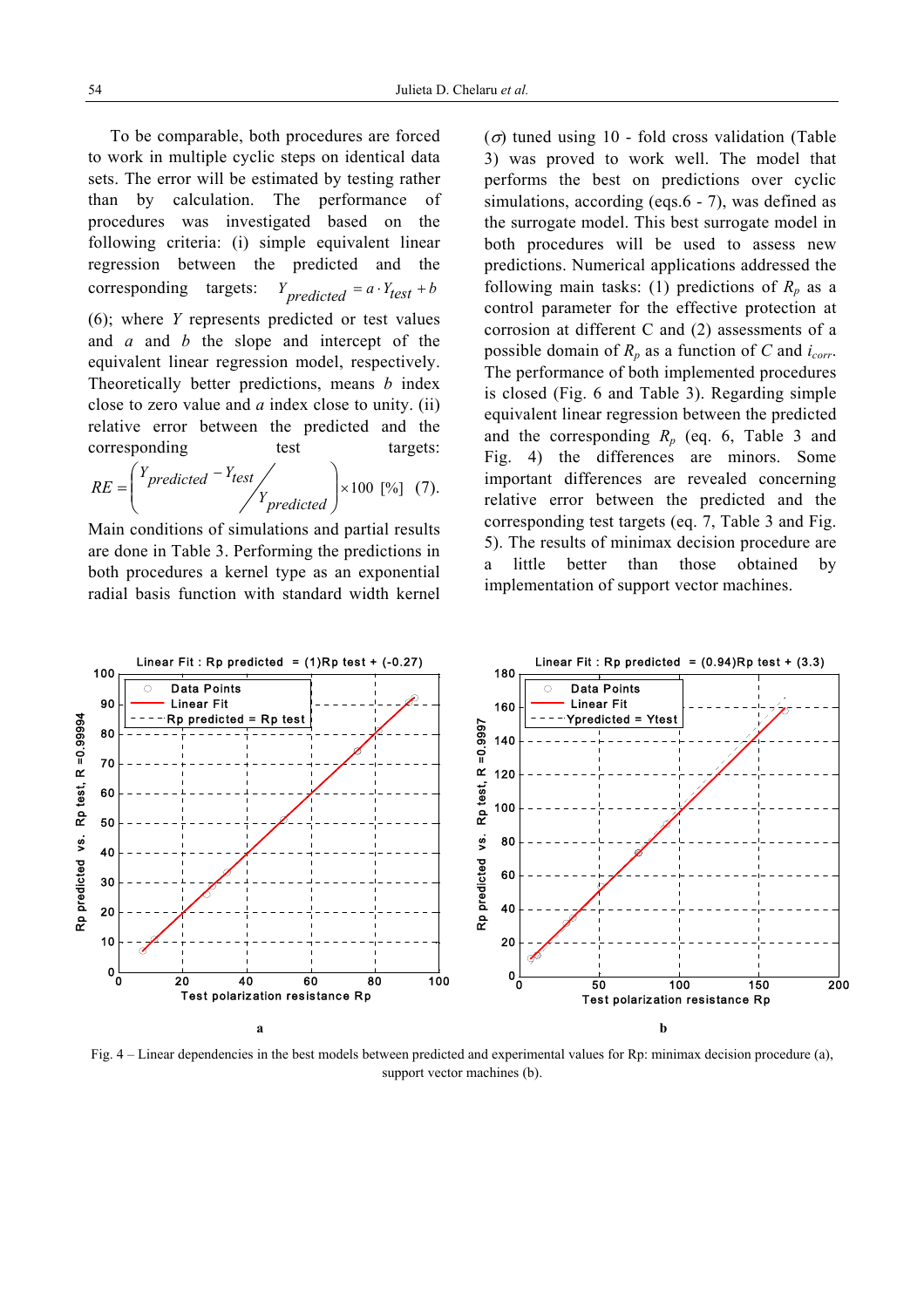To be comparable, both procedures are forced to work in multiple cyclic steps on identical data sets. The error will be estimated by testing rather than by calculation. The performance of procedures was investigated based on the following criteria: (i) simple equivalent linear regression between the predicted and the corresponding targets:  $Y_{predicted} = a \cdot Y_{test} + b$ (6); where *Y* represents predicted or test values and *a* and *b* the slope and intercept of the equivalent linear regression model, respectively. Theoretically better predictions, means *b* index close to zero value and *a* index close to unity. (ii) relative error between the predicted and the corresponding test targets:  $\sqrt{17}$ 

$$
RE = \begin{pmatrix} Y_{predicted} - Y_{test} \\ Y_{predicted} \end{pmatrix} \times 100 [ \% ] \quad (7).
$$

Main conditions of simulations and partial results are done in Table 3. Performing the predictions in both procedures a kernel type as an exponential radial basis function with standard width kernel  $(\sigma)$  tuned using 10 - fold cross validation (Table 3) was proved to work well. The model that performs the best on predictions over cyclic simulations, according (eqs.6 - 7), was defined as the surrogate model. This best surrogate model in both procedures will be used to assess new predictions. Numerical applications addressed the following main tasks: (1) predictions of  $R_p$  as a control parameter for the effective protection at corrosion at different C and (2) assessments of a possible domain of  $R_p$  as a function of  $C$  and  $i_{corr}$ . The performance of both implemented procedures is closed (Fig. 6 and Table 3). Regarding simple equivalent linear regression between the predicted and the corresponding  $R_p$  (eq. 6, Table 3 and Fig. 4) the differences are minors. Some important differences are revealed concerning relative error between the predicted and the corresponding test targets (eq. 7, Table 3 and Fig. 5). The results of minimax decision procedure are a little better than those obtained by implementation of support vector machines.



Fig. 4 – Linear dependencies in the best models between predicted and experimental values for Rp: minimax decision procedure (a), support vector machines (b).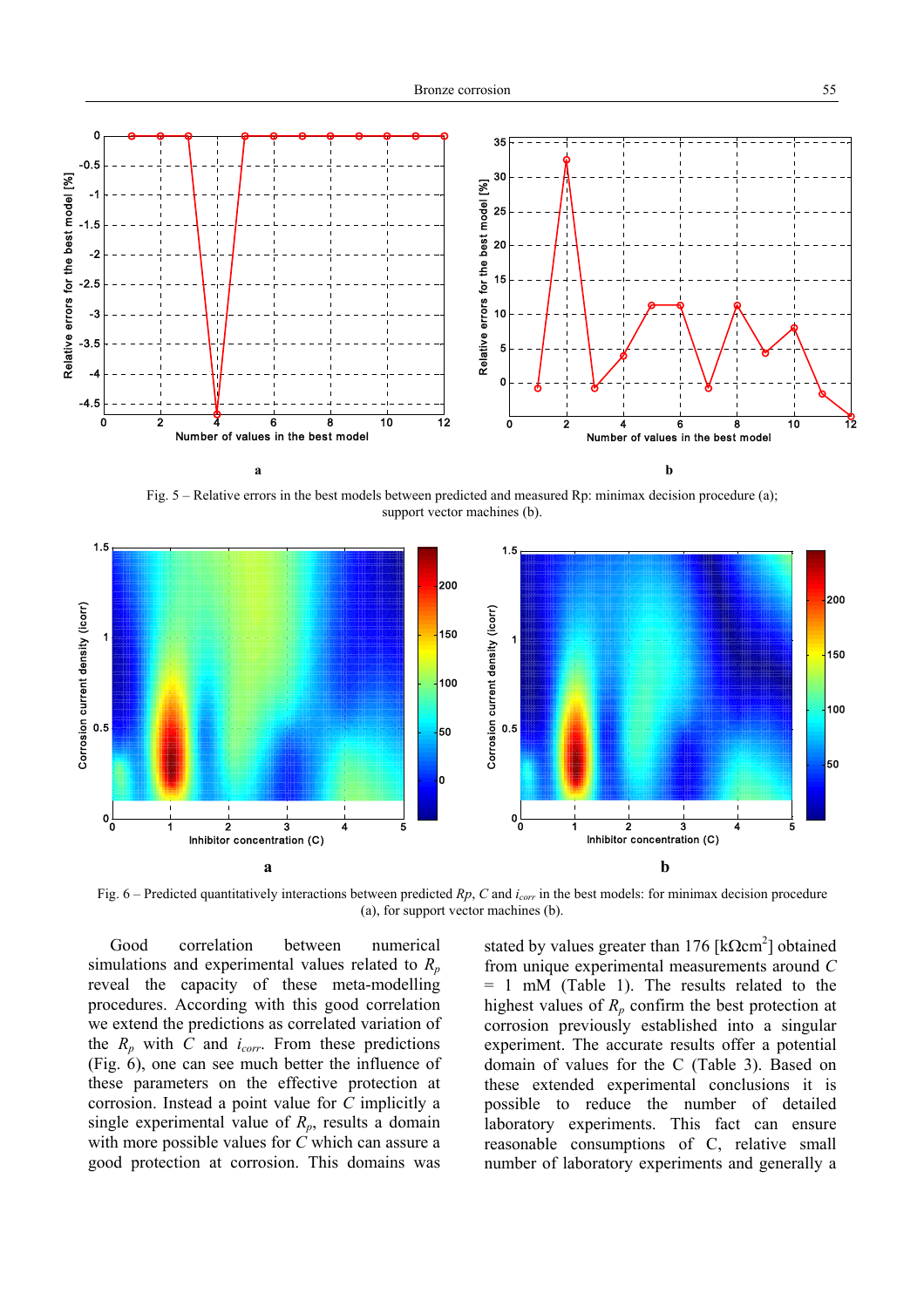

Fig. 5 – Relative errors in the best models between predicted and measured Rp: minimax decision procedure (a); support vector machines (b).



Fig. 6 – Predicted quantitatively interactions between predicted *Rp*, *C* and *icorr* in the best models: for minimax decision procedure (a), for support vector machines (b).

Good correlation between numerical simulations and experimental values related to  $R_p$ reveal the capacity of these meta-modelling procedures. According with this good correlation we extend the predictions as correlated variation of the  $R_p$  with  $C$  and  $i_{corr}$ . From these predictions (Fig. 6), one can see much better the influence of these parameters on the effective protection at corrosion. Instead a point value for *C* implicitly a single experimental value of  $R_p$ , results a domain with more possible values for *C* which can assure a good protection at corrosion. This domains was

stated by values greater than 176  $[k\Omega cm^2]$  obtained from unique experimental measurements around *C*  = 1 mM (Table 1). The results related to the highest values of  $R_p$  confirm the best protection at corrosion previously established into a singular experiment. The accurate results offer a potential domain of values for the C (Table 3). Based on these extended experimental conclusions it is possible to reduce the number of detailed laboratory experiments. This fact can ensure reasonable consumptions of C, relative small number of laboratory experiments and generally a